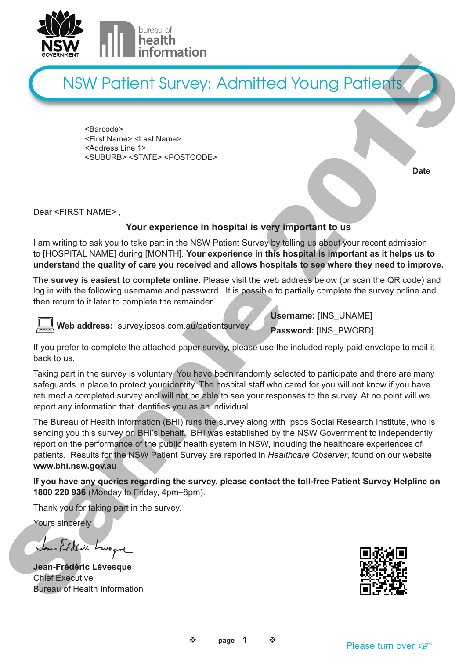

<Barcode> <First Name> <Last Name> <Address Line 1> <SUBURB> <STATE> <POSTCODE>

**Date**

Dear <FIRST NAME> ,

#### **Your experience in hospital is very important to us**

I am writing to ask you to take part in the NSW Patient Survey by telling us about your recent admission to [HOSPITAL NAME] during [MONTH]. **Your experience in this hospital is important as it helps us to understand the quality of care you received and allows hospitals to see where they need to improve.**

**The survey is easiest to complete online.** Please visit the web address below (or scan the QR code) and log in with the following username and password. It is possible to partially complete the survey online and then return to it later to complete the remainder.



 **Web address:** survey.ipsos.com.au/patientsurvey

**Username:** [INS\_UNAME] **Password:** [INS\_PWORD]

If you prefer to complete the attached paper survey, please use the included reply-paid envelope to mail it back to us.

Taking part in the survey is voluntary. You have been randomly selected to participate and there are many safeguards in place to protect your identity. The hospital staff who cared for you will not know if you have returned a completed survey and will not be able to see your responses to the survey. At no point will we report any information that identifies you as an individual.

The Bureau of Health Information (BHI) runs the survey along with Ipsos Social Research Institute, who is sending you this survey on BHI's behalf. BHI was established by the NSW Government to independently report on the performance of the public health system in NSW, including the healthcare experiences of patients. Results for the NSW Patient Survey are reported in *Healthcare Observer*, found on our website **www.bhi.nsw.gov.au** Now the content of the survey is voltained and paper anony particle of the survey of the survey of the survey of the survey of the survey of the survey of the survey of the survey of the survey of the survey of the survey Experiment TITLE III in Information<br>
Sample 2017 (September 2018)<br>
Sample 2018 (September 2018)<br>
Sample 2018 (September 2018)<br>
Cour effects and the same of the same of the same of the same of the same of the same of the sa

**If you have any queries regarding the survey, please contact the toll-free Patient Survey Helpline on 1800 220 936** (Monday to Friday, 4pm–8pm).

Thank you for taking part in the survey.

Yours sincerely

**Jean-Frédéric Lévesque** Chief Executive Bureau of Health Information

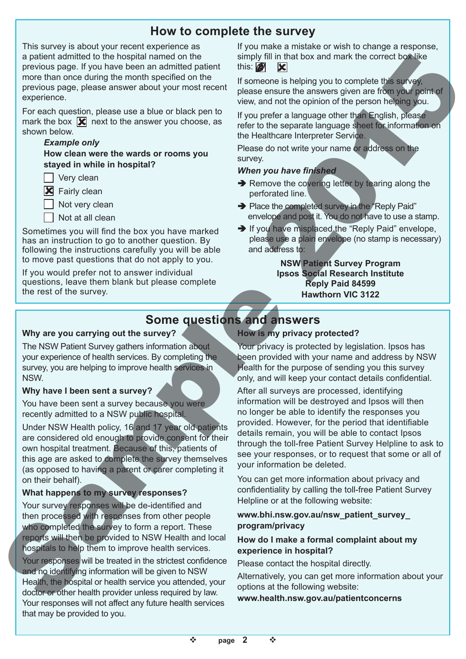# **How to complete the survey**

This survey is about your recent experience as a patient admitted to the hospital named on the previous page. If you have been an admitted patient more than once during the month specified on the previous page, please answer about your most recent experience.

For each question, please use a blue or black pen to mark the box  $\mathbf{\mathcal{R}}$  next to the answer you choose, as shown below.

#### *Example only*

 **How clean were the wards or rooms you stayed in while in hospital?**

 $\Box$  Very clean

**X** Fairly clean

Not very clean

Not at all clean

Sometimes you will find the box you have marked has an instruction to go to another question. By following the instructions carefully you will be able to move past questions that do not apply to you.

If you would prefer not to answer individual questions, leave them blank but please complete the rest of the survey.

If you make a mistake or wish to change a response, simply fill in that box and mark the correct box like this:  $\mathbb{Z}$ 

If someone is helping you to complete this survey, please ensure the answers given are from your point of view, and not the opinion of the person helping you.

If you prefer a language other than English, please refer to the separate language sheet for information on the Healthcare Interpreter Service.

Please do not write your name or address on the survey.

### *When you have finished*

- $\rightarrow$  Remove the covering letter by tearing along the perforated line.
- $\rightarrow$  Place the completed survey in the "Reply Paid" envelope and post it. You do not have to use a stamp.
- $\rightarrow$  If you have misplaced the "Reply Paid" envelope, please use a plain envelope (no stamp is necessary) and address to:

**NSW Patient Survey Program Ipsos Social Research Institute Reply Paid 84599 Hawthorn VIC 3122**

# **Some questions and answers**

#### **Why are you carrying out the survey?**

The NSW Patient Survey gathers information about your experience of health services. By completing the survey, you are helping to improve health services in NSW.

### **Why have I been sent a survey?**

You have been sent a survey because you were recently admitted to a NSW public hospital.

Under NSW Health policy, 16 and 17 year old patients are considered old enough to provide consent for their own hospital treatment. Because of this, patients of this age are asked to complete the survey themselves (as opposed to having a parent or carer completing it on their behalf).

### **What happens to my survey responses?**

Your survey responses will be de-identified and then processed with responses from other people who completed the survey to form a report. These reports will then be provided to NSW Health and local hospitals to help them to improve health services.

Your responses will be treated in the strictest confidence and no identifying information will be given to NSW Health, the hospital or health service you attended, your doctor or other health provider unless required by law. Your responses will not affect any future health services that may be provided to you.

**How is my privacy protected?**

Your privacy is protected by legislation. Ipsos has been provided with your name and address by NSW Health for the purpose of sending you this survey only, and will keep your contact details confidential.

After all surveys are processed, identifying information will be destroyed and Ipsos will then no longer be able to identify the responses you provided. However, for the period that identifiable details remain, you will be able to contact Ipsos through the toll-free Patient Survey Helpline to ask to see your responses, or to request that some or all of your information be deleted. a patent airmate the benefits at the following website: Sample 1 and the following website: Sample 2015 and the following website: Sample 2015 and the following website: Sample 2015 and the following website: Sample 2015 a whis in that box and mark the correct boxilike<br>this: If someone is helping you to complete this survey,<br>if someone is helping you to complete this survey,<br>please ensure the answers given are for the your perific of<br>twiw, a

You can get more information about privacy and confidentiality by calling the toll-free Patient Survey Helpline or at the following website:

#### **www.bhi.nsw.gov.au/nsw\_patient\_survey\_ program/privacy**

### **How do I make a formal complaint about my experience in hospital?**

Please contact the hospital directly.

Alternatively, you can get more information about your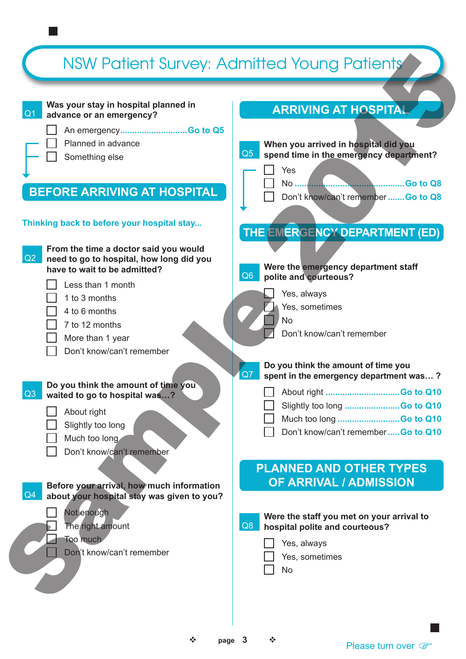

#### **Was your stay in hospital planned in advance or an emergency?**

An emergency**............................Go to Q5**

Planned in advance

Something else COS

## **BEFORE ARRIVING AT HOSPITAL**

### **Thinking back to before your hospital stay...**

 $Q2$  **From the time a doctor said you would need to go to hospital, how long did you have to wait to be admitted?** Less than 1 month 1 to 3 months 4 to 6 months 7 to 12 months More than 1 year Don't know/can't remember Q3 **Do you think the amount of time you waited to go to hospital was…?**  About right Slightly too long Much too long Don't know/can't remember  $Q<sub>4</sub>$  **Before your arrival, how much information about your hospital stay was given to you?** Not enough The right amount Too much Don't know/can't remember  $Q7$ Q6 No Q8 NSW Patient Survey: Admitted Young Patients Sample 2015

## **ARRIVING AT HOSPITAL**



Yes, sometimes

No

 $\div$  page 3  $\div$ 

Please turn over  $\mathbb{F}$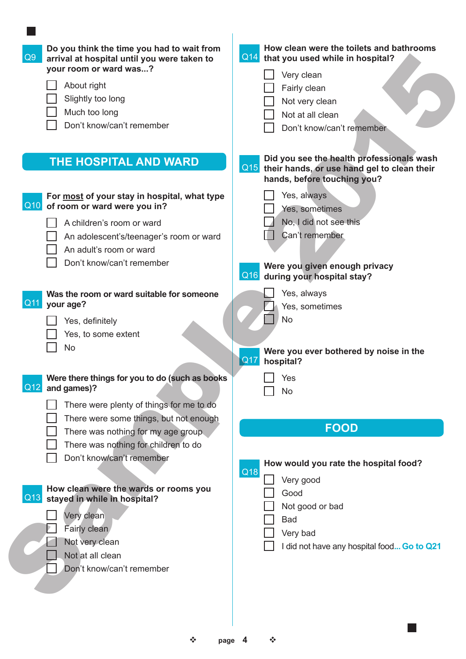| Do you think the time you had to wait from<br>Q9<br>arrival at hospital until you were taken to<br>your room or ward was?<br>About right<br>Slightly too long<br>Much too long<br>Don't know/can't remember                                                            | How clean were the toilets and bathrooms<br>Q14<br>that you used while in hospital?<br>Very clean<br>Fairly clean<br>Not very clean<br>Not at all clean<br>Don't know/can't remember |
|------------------------------------------------------------------------------------------------------------------------------------------------------------------------------------------------------------------------------------------------------------------------|--------------------------------------------------------------------------------------------------------------------------------------------------------------------------------------|
| THE HOSPITAL AND WARD                                                                                                                                                                                                                                                  | Did you see the health professionals wash<br>Q15<br>their hands, or use hand gel to clean their<br>hands, before touching you?                                                       |
| For most of your stay in hospital, what type<br>Q10 of room or ward were you in?<br>A children's room or ward<br>An adolescent's/teenager's room or ward<br>An adult's room or ward<br>Don't know/can't remember                                                       | Yes, always<br>Yes, sometimes<br>No, I did not see this<br>Can't remember<br>Were you given enough privacy<br>Q16<br>during your hospital stay?                                      |
| Was the room or ward suitable for someone<br>Q11 your age?<br>Yes, definitely<br>Yes, to some extent<br>No                                                                                                                                                             | Yes, always<br>Yes, sometimes<br><b>No</b><br>Were you ever bothered by noise in the<br>Q17<br>hospital?                                                                             |
| Were there things for you to do (such as books<br>Q12<br>and games)?<br>There were plenty of things for me to do<br>There were some things, but not enough<br>There was nothing for my age group.<br>There was nothing for children to do<br>Don't know/can't remember | Yes<br><b>No</b><br><b>FOOD</b><br>How would you rate the hospital food?<br>Q18                                                                                                      |
| How clean were the wards or rooms you<br>Q13<br>stayed in while in hospital?<br>Very clean<br>Fairly clean<br>Not very clean<br>Not at all clean<br>Don't know/can't remember                                                                                          | Very good<br>Good<br>Not good or bad<br><b>Bad</b><br>Very bad<br>I did not have any hospital food Go to Q21                                                                         |

**College** 

 **page 4**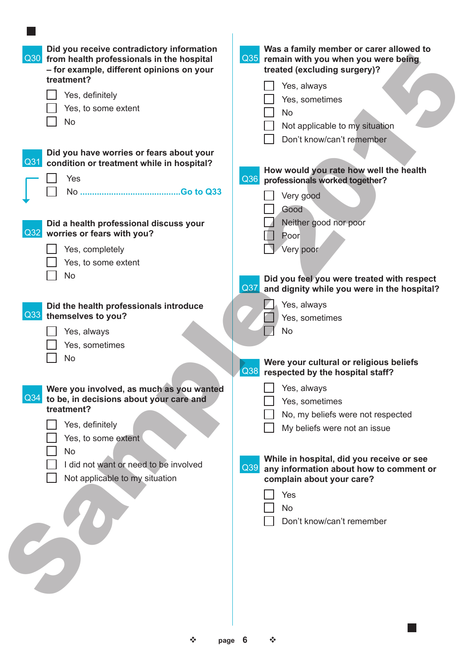| Did you receive contradictory information<br>Q30 from health professionals in the hospital<br>- for example, different opinions on your<br>treatment?<br>Yes, definitely<br>Yes, to some extent<br><b>No</b>                                           | Was a family member or carer allowed to<br>Q35 remain with you when you were being<br>treated (excluding surgery)?<br>Yes, always<br>Yes, sometimes<br><b>No</b><br>Not applicable to my situation                                                                                                                      |
|--------------------------------------------------------------------------------------------------------------------------------------------------------------------------------------------------------------------------------------------------------|-------------------------------------------------------------------------------------------------------------------------------------------------------------------------------------------------------------------------------------------------------------------------------------------------------------------------|
| Did you have worries or fears about your<br>Q31<br>condition or treatment while in hospital?<br>Yes                                                                                                                                                    | Don't know/can't remember<br>How would you rate how well the health<br>Q36<br>professionals worked together?<br>Very good<br>Good                                                                                                                                                                                       |
| Did a health professional discuss your<br>Q32 worries or fears with you?<br>Yes, completely<br>Yes, to some extent<br><b>No</b>                                                                                                                        | Neither good nor poor<br>Poor<br>Very poor<br>Did you feel you were treated with respect<br>Q37<br>and dignity while you were in the hospital?                                                                                                                                                                          |
| Did the health professionals introduce<br>Q33 themselves to you?<br>Yes, always<br>Yes, sometimes<br>No                                                                                                                                                | Yes, always<br>Yes, sometimes<br>No                                                                                                                                                                                                                                                                                     |
| Were you involved, as much as you wanted<br>Q <sub>34</sub><br>to be, in decisions about your care and<br>treatment?<br>Yes, definitely<br>Yes, to some extent<br><b>No</b><br>I did not want or need to be involved<br>Not applicable to my situation | Were your cultural or religious beliefs<br>Q38<br>respected by the hospital staff?<br>Yes, always<br>Yes, sometimes<br>No, my beliefs were not respected<br>My beliefs were not an issue<br>While in hospital, did you receive or see<br>$Q$ 39<br>any information about how to comment or<br>complain about your care? |
|                                                                                                                                                                                                                                                        | Yes<br>No<br>Don't know/can't remember                                                                                                                                                                                                                                                                                  |

| $\mathcal{L}$ | page 6 | ∙⊱ |
|---------------|--------|----|
|               |        |    |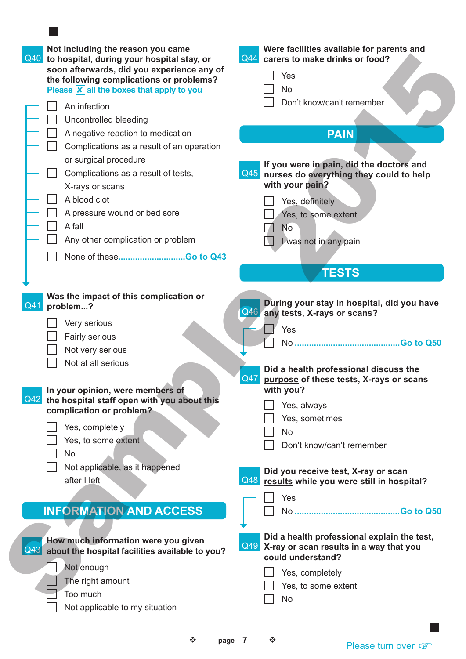Please turn over  $\circledast$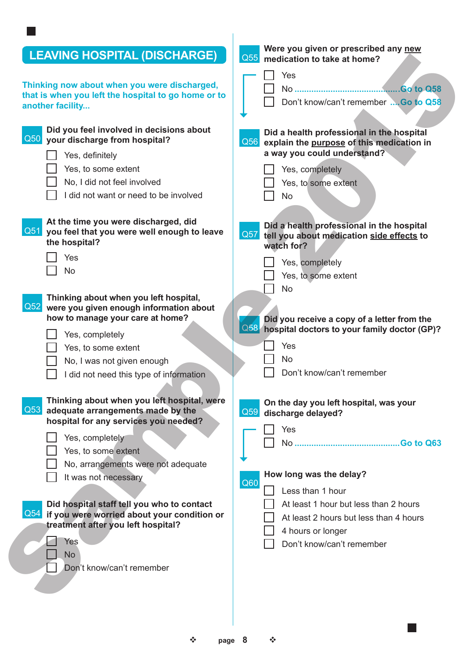| <b>LEAVING HOSPITAL (DISCHARGE)</b>                                                           | Were you given or prescribed any new<br>Q55                                                        |
|-----------------------------------------------------------------------------------------------|----------------------------------------------------------------------------------------------------|
|                                                                                               | medication to take at home?                                                                        |
| Thinking now about when you were discharged,                                                  | Yes                                                                                                |
| that is when you left the hospital to go home or to                                           | Don't know/can't remember  Go to Q58                                                               |
| another facility                                                                              |                                                                                                    |
| Did you feel involved in decisions about                                                      |                                                                                                    |
| Q50 your discharge from hospital?                                                             | Did a health professional in the hospital<br>Q56<br>explain the purpose of this medication in      |
| Yes, definitely                                                                               | a way you could understand?                                                                        |
| Yes, to some extent                                                                           | Yes, completely                                                                                    |
| No, I did not feel involved                                                                   | Yes, to some extent                                                                                |
| I did not want or need to be involved                                                         | <b>No</b>                                                                                          |
|                                                                                               |                                                                                                    |
| At the time you were discharged, did                                                          |                                                                                                    |
| Q51 you feel that you were well enough to leave                                               | Did a health professional in the hospital<br>Q57<br>tell you about medication side effects to      |
| the hospital?                                                                                 | watch for?                                                                                         |
| Yes                                                                                           | Yes, completely                                                                                    |
| <b>No</b>                                                                                     | Yes, to some extent                                                                                |
|                                                                                               | <b>No</b>                                                                                          |
| Thinking about when you left hospital,                                                        |                                                                                                    |
| Q52 were you given enough information about                                                   |                                                                                                    |
| how to manage your care at home?                                                              | Did you receive a copy of a letter from the<br>Q58<br>hospital doctors to your family doctor (GP)? |
| Yes, completely                                                                               |                                                                                                    |
| Yes, to some extent                                                                           | Yes                                                                                                |
| No, I was not given enough                                                                    | <b>No</b>                                                                                          |
| I did not need this type of information                                                       | Don't know/can't remember                                                                          |
| Thinking about when you left hospital, were                                                   | On the day you left hospital, was your                                                             |
| Q53 adequate arrangements made by the<br>hospital for any services you needed?                | Q59<br>discharge delayed?                                                                          |
|                                                                                               | Yes                                                                                                |
| Yes, completely                                                                               |                                                                                                    |
| Yes, to some extent                                                                           |                                                                                                    |
| No, arrangements were not adequate                                                            | How long was the delay?                                                                            |
| It was not necessary                                                                          | Q60                                                                                                |
|                                                                                               | Less than 1 hour                                                                                   |
| Did hospital staff tell you who to contact<br>Q54 if you were worried about your condition or | At least 1 hour but less than 2 hours                                                              |
| treatment after you left hospital?                                                            | At least 2 hours but less than 4 hours                                                             |
| Yes                                                                                           | 4 hours or longer                                                                                  |
| <b>No</b>                                                                                     | Don't know/can't remember                                                                          |
| Don't know/can't remember                                                                     |                                                                                                    |
|                                                                                               |                                                                                                    |
|                                                                                               |                                                                                                    |
|                                                                                               |                                                                                                    |

 **page 8**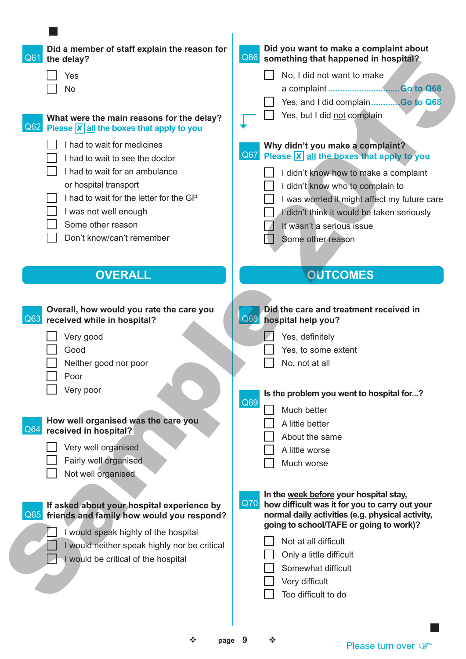| Did a member of staff explain the reason for<br>Q6<br>the delay?               | Did you want to make a complaint about<br>Q66 something that happened in hospital?          |
|--------------------------------------------------------------------------------|---------------------------------------------------------------------------------------------|
| Yes                                                                            | No, I did not want to make                                                                  |
| No<br>$\blacksquare$                                                           |                                                                                             |
|                                                                                | Yes, and I did complainGo to Q68                                                            |
| What were the main reasons for the delay?                                      | Yes, but I did not complain<br>$\mathcal{L}$                                                |
| $\overline{Q62}$ Please $\overline{X}$ all the boxes that apply to you         |                                                                                             |
| I had to wait for medicines                                                    | Why didn't you make a complaint?                                                            |
| I had to wait to see the doctor                                                | Q67 Please X all the boxes that apply to you                                                |
| I had to wait for an ambulance                                                 | I didn't know how to make a complaint                                                       |
| or hospital transport                                                          | I didn't know who to complain to                                                            |
| I had to wait for the letter for the GP                                        | was worried it might affect my future care                                                  |
| I was not well enough                                                          | I didn't think it would be taken seriously                                                  |
| Some other reason                                                              | $\sqrt{ }$<br>It wasn't a serious issue                                                     |
| Don't know/can't remember                                                      | u<br>Some other reason                                                                      |
|                                                                                |                                                                                             |
| <b>OVERALL</b>                                                                 | <b>OUTCOMES</b>                                                                             |
|                                                                                |                                                                                             |
|                                                                                |                                                                                             |
| Overall, how would you rate the care you<br>Q63<br>received while in hospital? | Did the care and treatment received in<br><b>Q68</b> hospital help you?                     |
|                                                                                |                                                                                             |
| Very good                                                                      | Yes, definitely                                                                             |
| Good                                                                           | Yes, to some extent                                                                         |
| Neither good nor poor                                                          | $\Box$<br>No, not at all                                                                    |
| Poor                                                                           |                                                                                             |
| $\mathcal{L}_{\mathcal{A}}$<br>Very poor                                       | Is the problem you went to hospital for?<br>Q69                                             |
|                                                                                | Much better                                                                                 |
| How well organised was the care you<br>Q <sub>6</sub><br>received in hospital? | A little better                                                                             |
|                                                                                | About the same                                                                              |
| Very well organised                                                            | A little worse                                                                              |
| Fairly well organised                                                          | Much worse                                                                                  |
| Not well organised                                                             |                                                                                             |
|                                                                                | In the week before your hospital stay,                                                      |
| If asked about your hospital experience by<br>Q65                              | Q70 <br>how difficult was it for you to carry out your                                      |
| friends and family how would you respond?                                      | normal daily activities (e.g. physical activity,<br>going to school/TAFE or going to work)? |
| I would speak highly of the hospital                                           | Not at all difficult                                                                        |
| I would neither speak highly nor be critical                                   | Only a little difficult                                                                     |
| $\Box$<br>I would be critical of the hospital                                  | Somewhat difficult                                                                          |
|                                                                                | Very difficult                                                                              |
|                                                                                | Too difficult to do                                                                         |
|                                                                                |                                                                                             |
|                                                                                |                                                                                             |
|                                                                                |                                                                                             |

**College** 

 $\div$  **page 9**  $\div$ 

Please turn over  $\circledast$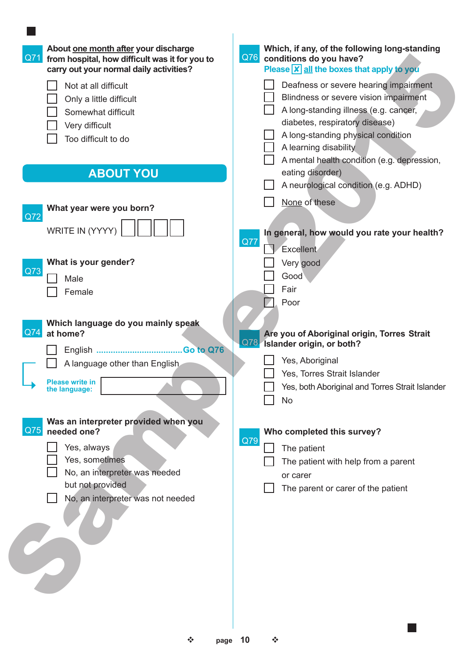| About one month after your discharge<br>Q71<br>from hospital, how difficult was it for you to<br>carry out your normal daily activities? | Which, if any, of the following long-standing<br>Q76<br>conditions do you have?<br>Please $\overline{X}$ all the boxes that apply to you |
|------------------------------------------------------------------------------------------------------------------------------------------|------------------------------------------------------------------------------------------------------------------------------------------|
| Not at all difficult                                                                                                                     | Deafness or severe hearing impairment                                                                                                    |
| Only a little difficult                                                                                                                  | Blindness or severe vision impairment                                                                                                    |
| Somewhat difficult                                                                                                                       | A long-standing illness (e.g. cancer,                                                                                                    |
| Very difficult                                                                                                                           | diabetes, respiratory disease)                                                                                                           |
| Too difficult to do                                                                                                                      | A long-standing physical condition                                                                                                       |
|                                                                                                                                          | A learning disability                                                                                                                    |
|                                                                                                                                          | A mental health condition (e.g. depression,                                                                                              |
| <b>ABOUT YOU</b>                                                                                                                         | eating disorder)                                                                                                                         |
|                                                                                                                                          | A neurological condition (e.g. ADHD)                                                                                                     |
| What year were you born?                                                                                                                 | None of these                                                                                                                            |
| Q72                                                                                                                                      |                                                                                                                                          |
| WRITE IN (YYYY)                                                                                                                          | In general, how would you rate your health?                                                                                              |
|                                                                                                                                          | Q77<br>Excellent                                                                                                                         |
| What is your gender?                                                                                                                     | Very good                                                                                                                                |
| Q73                                                                                                                                      | Good                                                                                                                                     |
| Male                                                                                                                                     | Fair                                                                                                                                     |
| Female                                                                                                                                   | Poor                                                                                                                                     |
|                                                                                                                                          |                                                                                                                                          |
| Which language do you mainly speak                                                                                                       |                                                                                                                                          |
| Q74<br>at home?                                                                                                                          | Are you of Aboriginal origin, Torres Strait<br>Q78                                                                                       |
|                                                                                                                                          | Islander origin, or both?                                                                                                                |
| A language other than English                                                                                                            | Yes, Aboriginal                                                                                                                          |
| <b>Please write in</b>                                                                                                                   | Yes, Torres Strait Islander                                                                                                              |
| the language:                                                                                                                            | Yes, both Aboriginal and Torres Strait Islander                                                                                          |
|                                                                                                                                          | <b>No</b>                                                                                                                                |
| Was an interpreter provided when you                                                                                                     |                                                                                                                                          |
| Q75<br>needed one?                                                                                                                       | Who completed this survey?                                                                                                               |
| Yes, always                                                                                                                              | Q79<br>The patient                                                                                                                       |
| Yes, sometimes                                                                                                                           | The patient with help from a parent                                                                                                      |
| No, an interpreter was needed                                                                                                            | or carer                                                                                                                                 |
| but not provided                                                                                                                         | The parent or carer of the patient                                                                                                       |
| No, an interpreter was not needed                                                                                                        |                                                                                                                                          |
|                                                                                                                                          |                                                                                                                                          |
|                                                                                                                                          |                                                                                                                                          |
|                                                                                                                                          |                                                                                                                                          |
|                                                                                                                                          |                                                                                                                                          |
|                                                                                                                                          |                                                                                                                                          |
|                                                                                                                                          |                                                                                                                                          |
|                                                                                                                                          |                                                                                                                                          |
|                                                                                                                                          |                                                                                                                                          |

l se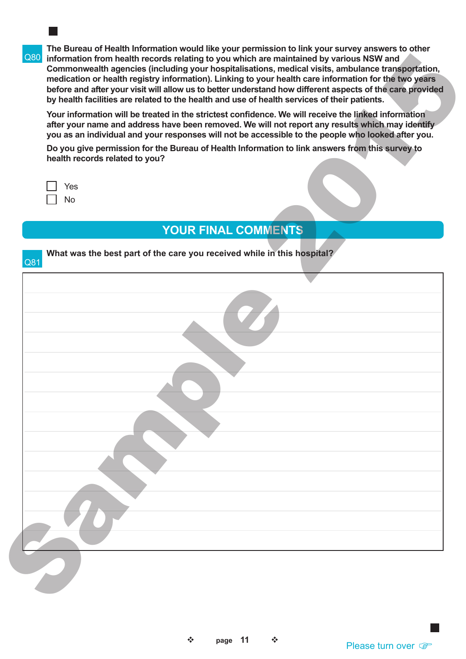Q80 **information from health records relating to you which are maintained by various NSW and The Bureau of Health Information would like your permission to link your survey answers to other Commonwealth agencies (including your hospitalisations, medical visits, ambulance transportation, medication or health registry information). Linking to your health care information for the two years before and after your visit will allow us to better understand how different aspects of the care provided by health facilities are related to the health and use of health services of their patients.**

| Yes |
|-----|
| N٥  |

|        | Q80 information from health records relating to you which are maintained by various NSW and<br>Commonwealth agencies (including your hospitalisations, medical visits, ambulance transportation,<br>medication or health registry information). Linking to your health care information for the two years<br>before and after your visit will allow us to better understand how different aspects of the care provided<br>by health facilities are related to the health and use of health services of their patients. |
|--------|------------------------------------------------------------------------------------------------------------------------------------------------------------------------------------------------------------------------------------------------------------------------------------------------------------------------------------------------------------------------------------------------------------------------------------------------------------------------------------------------------------------------|
|        | Your information will be treated in the strictest confidence. We will receive the linked information<br>after your name and address have been removed. We will not report any results which may identify<br>you as an individual and your responses will not be accessible to the people who looked after you.<br>Do you give permission for the Bureau of Health Information to link answers from this survey to<br>health records related to you?                                                                    |
| $\Box$ | Yes<br>No<br><b>YOUR FINAL COMMENTS</b>                                                                                                                                                                                                                                                                                                                                                                                                                                                                                |
| Q81    | What was the best part of the care you received while in this hospital?                                                                                                                                                                                                                                                                                                                                                                                                                                                |
|        |                                                                                                                                                                                                                                                                                                                                                                                                                                                                                                                        |
|        |                                                                                                                                                                                                                                                                                                                                                                                                                                                                                                                        |
|        |                                                                                                                                                                                                                                                                                                                                                                                                                                                                                                                        |
|        |                                                                                                                                                                                                                                                                                                                                                                                                                                                                                                                        |
|        |                                                                                                                                                                                                                                                                                                                                                                                                                                                                                                                        |
|        |                                                                                                                                                                                                                                                                                                                                                                                                                                                                                                                        |